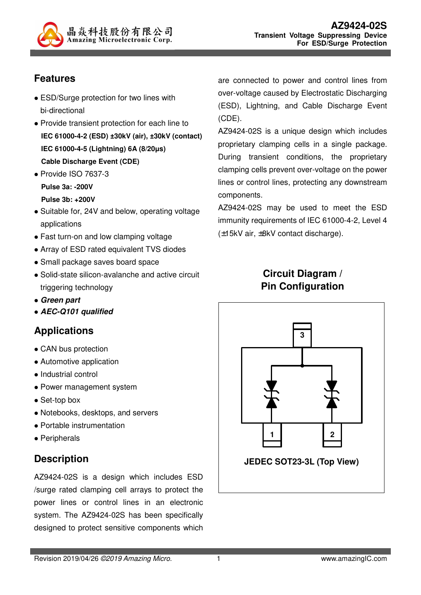

# **Features**

- ESD/Surge protection for two lines with bi-directional
- Provide transient protection for each line to **IEC 61000-4-2 (ESD) ±30kV (air), ±30kV (contact) IEC 61000-4-5 (Lightning) 6A (8/20µs) Cable Discharge Event (CDE)**
- Provide ISO 7637-3 **Pulse 3a: -200V Pulse 3b: +200V**
- Suitable for, 24V and below, operating voltage applications
- Fast turn-on and low clamping voltage
- Array of ESD rated equivalent TVS diodes
- Small package saves board space
- Solid-state silicon-avalanche and active circuit triggering technology
- **Green part**
- **AEC-Q101 qualified**

# **Applications**

- CAN bus protection
- Automotive application
- Industrial control
- Power management system
- Set-top box
- Notebooks, desktops, and servers
- Portable instrumentation
- Peripherals

#### **Description**

AZ9424-02S is a design which includes ESD /surge rated clamping cell arrays to protect the power lines or control lines in an electronic system. The AZ9424-02S has been specifically designed to protect sensitive components which

are connected to power and control lines from over-voltage caused by Electrostatic Discharging (ESD), Lightning, and Cable Discharge Event (CDE).

AZ9424-02S is a unique design which includes proprietary clamping cells in a single package. During transient conditions, the proprietary clamping cells prevent over-voltage on the power lines or control lines, protecting any downstream components.

AZ9424-02S may be used to meet the ESD immunity requirements of IEC 61000-4-2, Level 4 (±15kV air, ±8kV contact discharge).

# **Circuit Diagram / Pin Configuration**

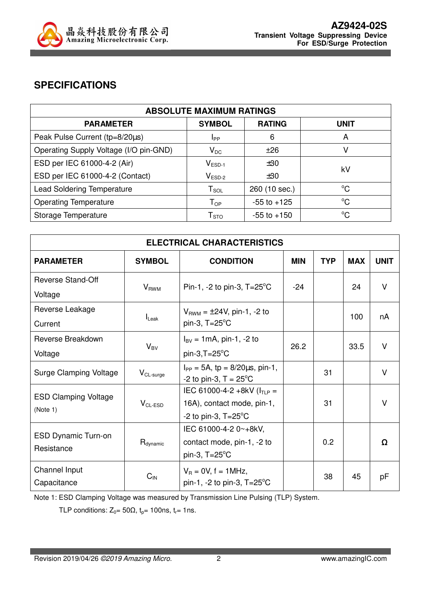

## **SPECIFICATIONS**

| <b>ABSOLUTE MAXIMUM RATINGS</b>        |                            |                 |             |  |
|----------------------------------------|----------------------------|-----------------|-------------|--|
| <b>PARAMETER</b>                       | <b>SYMBOL</b>              | <b>RATING</b>   | <b>UNIT</b> |  |
| Peak Pulse Current (tp=8/20µs)         | Ipp                        | 6               | A           |  |
| Operating Supply Voltage (I/O pin-GND) | $V_{DC}$                   | ±26             | v           |  |
| ESD per IEC 61000-4-2 (Air)            | $V_{ESD-1}$                | ±30             | kV          |  |
| ESD per IEC 61000-4-2 (Contact)        | $V_{ESD-2}$                | ±30             |             |  |
| <b>Lead Soldering Temperature</b>      | ${\sf T}_{\sf SOL}$        | 260 (10 sec.)   | $^{\circ}C$ |  |
| <b>Operating Temperature</b>           | $T_{OP}$                   | $-55$ to $+125$ | $^{\circ}C$ |  |
| Storage Temperature                    | ${\mathsf T}_{\text{STO}}$ | $-55$ to $+150$ | $^{\circ}C$ |  |

| <b>ELECTRICAL CHARACTERISTICS</b>        |                      |                                                                                                |            |            |            |             |
|------------------------------------------|----------------------|------------------------------------------------------------------------------------------------|------------|------------|------------|-------------|
| <b>PARAMETER</b>                         | <b>SYMBOL</b>        | <b>CONDITION</b>                                                                               | <b>MIN</b> | <b>TYP</b> | <b>MAX</b> | <b>UNIT</b> |
| <b>Reverse Stand-Off</b><br>Voltage      | $V_{RWM}$            | Pin-1, -2 to pin-3, $T = 25^{\circ}$ C                                                         | $-24$      |            | 24         | $\vee$      |
| Reverse Leakage<br>Current               | $I_{\text{Leak}}$    | $V_{RWM} = \pm 24V$ , pin-1, -2 to<br>pin-3, $T = 25^{\circ}$ C                                |            |            | 100        | nA          |
| Reverse Breakdown<br>Voltage             | $V_{BV}$             | $I_{BV} = 1 \text{mA}$ , pin-1, -2 to<br>$pin-3, T=25^{\circ}C$                                | 26.2       |            | 33.5       | $\vee$      |
| Surge Clamping Voltage                   | $V_{CL-surge}$       | $I_{PP} = 5A$ , tp = 8/20 $\mu$ s, pin-1,<br>-2 to pin-3, $T = 25^{\circ}C$                    |            | 31         |            | $\vee$      |
| <b>ESD Clamping Voltage</b><br>(Note 1)  | $V_{CL-ESD}$         | IEC 61000-4-2 +8kV ( $I_{TLP}$ =<br>16A), contact mode, pin-1,<br>-2 to pin-3, $T=25^{\circ}C$ |            | 31         |            | V           |
| <b>ESD Dynamic Turn-on</b><br>Resistance | $H_{\text{dynamic}}$ | IEC 61000-4-2 0~+8kV,<br>contact mode, pin-1, -2 to<br>pin-3, $T = 25^{\circ}$ C               |            | 0.2        |            | Ω           |
| Channel Input<br>Capacitance             | $C_{\text{IN}}$      | $V_R = 0V$ , f = 1MHz,<br>pin-1, -2 to pin-3, $T = 25^{\circ}$ C                               |            | 38         | 45         | рF          |

Note 1: ESD Clamping Voltage was measured by Transmission Line Pulsing (TLP) System.

TLP conditions:  $Z_0 = 50\Omega$ ,  $t_p = 100$ ns,  $t_r = 1$ ns.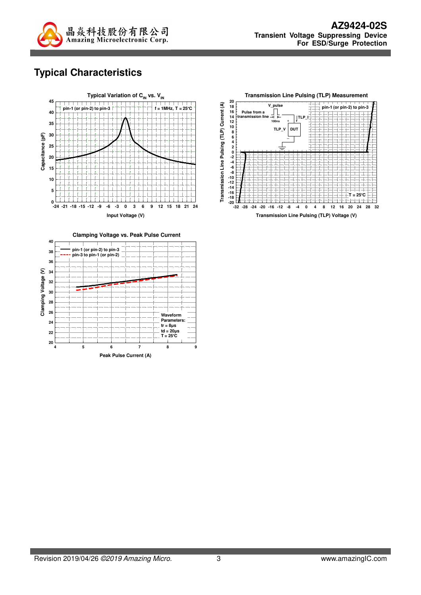

# **Typical Characteristics**





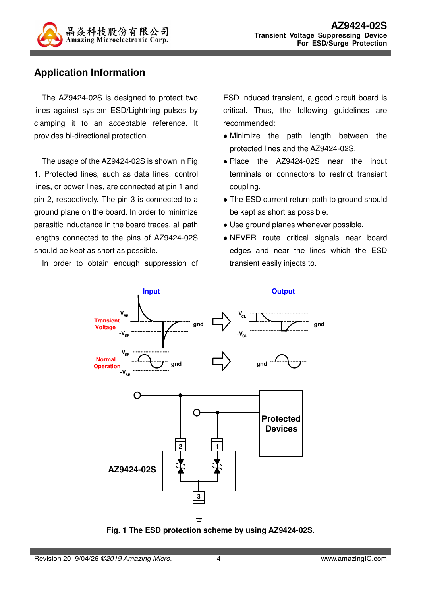

### **Application Information**

The AZ9424-02S is designed to protect two lines against system ESD/Lightning pulses by clamping it to an acceptable reference. It provides bi-directional protection.

The usage of the AZ9424-02S is shown in Fig. 1. Protected lines, such as data lines, control lines, or power lines, are connected at pin 1 and pin 2, respectively. The pin 3 is connected to a ground plane on the board. In order to minimize parasitic inductance in the board traces, all path lengths connected to the pins of AZ9424-02S should be kept as short as possible.

In order to obtain enough suppression of

ESD induced transient, a good circuit board is critical. Thus, the following guidelines are recommended:

- Minimize the path length between the protected lines and the AZ9424-02S.
- Place the AZ9424-02S near the input terminals or connectors to restrict transient coupling.
- The ESD current return path to ground should be kept as short as possible.
- Use ground planes whenever possible.
- NEVER route critical signals near board edges and near the lines which the ESD transient easily injects to.



**Fig. 1 The ESD protection scheme by using AZ9424-02S.**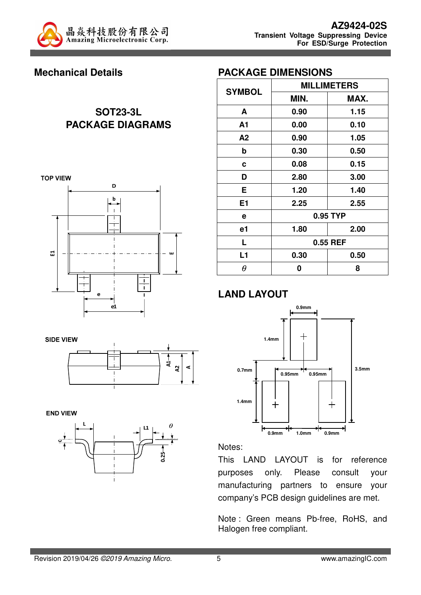

### **Mechanical Details**

# **SOT23-3L PACKAGE DIAGRAMS**



| ਤ |  |
|---|--|

**END VIEW** 



| <b>PACKAGE DIMENSIONS</b> |  |
|---------------------------|--|
|---------------------------|--|

|               | <b>MILLIMETERS</b> |          |  |
|---------------|--------------------|----------|--|
| <b>SYMBOL</b> | MIN.               | MAX.     |  |
| A             | 0.90               | 1.15     |  |
| A1            | 0.00               | 0.10     |  |
| A2            | 0.90               | 1.05     |  |
| b             | 0.30               | 0.50     |  |
| C             | 0.08               | 0.15     |  |
| D             | 2.80               | 3.00     |  |
| Е             | 1.20               | 1.40     |  |
| E1            | 2.25               | 2.55     |  |
| е             |                    | 0.95 TYP |  |
| e1            | 2.00<br>1.80       |          |  |
| L             | 0.55 REF           |          |  |
| L1            | 0.30               | 0.50     |  |
| $\theta$      | 0                  | 8        |  |

#### **LAND LAYOUT**



Notes:

This LAND LAYOUT is for reference purposes only. Please consult your manufacturing partners to ensure your company's PCB design guidelines are met.

Note : Green means Pb-free, RoHS, and Halogen free compliant.